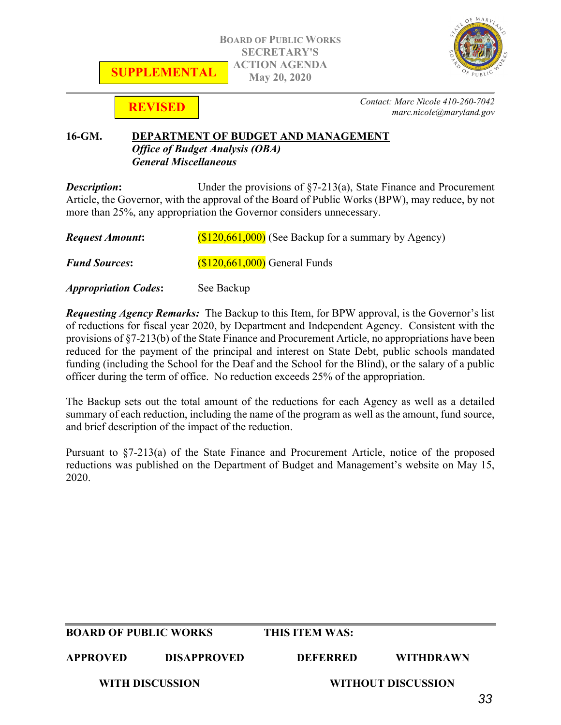



**REVISED**

*Contact: Marc Nicole 410-260-7042 marc.nicole@maryland.gov*

### **16-GM. DEPARTMENT OF BUDGET AND MANAGEMENT** *Office of Budget Analysis (OBA) General Miscellaneous*

**Description:** Under the provisions of §7-213(a), State Finance and Procurement Article, the Governor, with the approval of the Board of Public Works (BPW), may reduce, by not more than 25%, any appropriation the Governor considers unnecessary.

| <b>Request Amount:</b>      | $(S120, 661, 000)$ (See Backup for a summary by Agency) |
|-----------------------------|---------------------------------------------------------|
| <b>Fund Sources:</b>        | $(S120, 661, 000)$ General Funds                        |
| <b>Appropriation Codes:</b> | See Backup                                              |

*Requesting Agency Remarks:*The Backup to this Item, for BPW approval, is the Governor's list of reductions for fiscal year 2020, by Department and Independent Agency. Consistent with the provisions of §7-213(b) of the State Finance and Procurement Article, no appropriations have been reduced for the payment of the principal and interest on State Debt, public schools mandated funding (including the School for the Deaf and the School for the Blind), or the salary of a public officer during the term of office. No reduction exceeds 25% of the appropriation.

The Backup sets out the total amount of the reductions for each Agency as well as a detailed summary of each reduction, including the name of the program as well as the amount, fund source, and brief description of the impact of the reduction.

Pursuant to §7-213(a) of the State Finance and Procurement Article, notice of the proposed reductions was published on the Department of Budget and Management's website on May 15, 2020.

| <b>BOARD OF PUBLIC WORKS</b> |                    | THIS ITEM WAS: |                    |  |
|------------------------------|--------------------|----------------|--------------------|--|
| <b>APPROVED</b>              | <b>DISAPPROVED</b> | DEEERRED       | <b>WITHDRAWN</b>   |  |
| <b>WITH DISCUSSION</b>       |                    |                | WITHOUT DISCUSSION |  |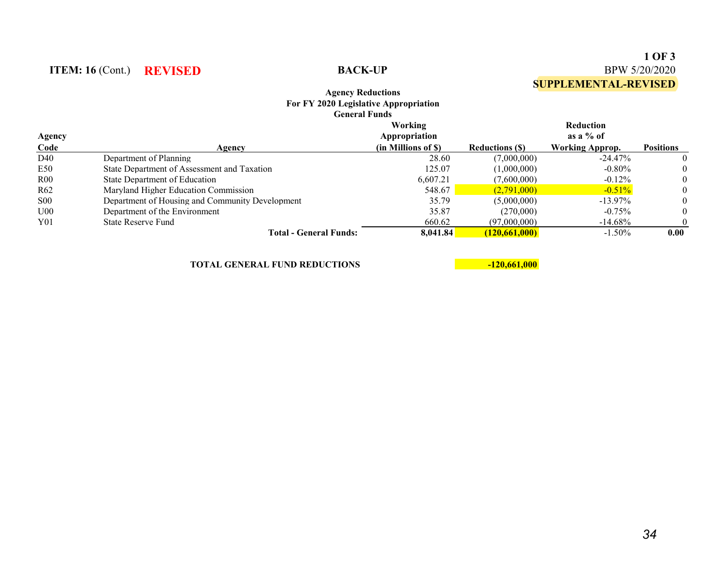|                | <b>Agency Reductions</b><br>For FY 2020 Legislative Appropriation<br><b>General Funds</b> |                                                 |                       | <b>SUPPLEMENTAL-REVISED</b>                               |                   |  |
|----------------|-------------------------------------------------------------------------------------------|-------------------------------------------------|-----------------------|-----------------------------------------------------------|-------------------|--|
| Agency<br>Code | Agency                                                                                    | Working<br>Appropriation<br>(in Millions of \$) | <b>Reductions (S)</b> | <b>Reduction</b><br>as a $%$ of<br><b>Working Approp.</b> | <b>Positions</b>  |  |
| D40            | Department of Planning                                                                    | 28.60                                           | (7,000,000)           | $-24.47\%$                                                |                   |  |
| E50            | State Department of Assessment and Taxation                                               | 125.07                                          | (1,000,000)           | $-0.80\%$                                                 |                   |  |
| R00            | State Department of Education                                                             | 6.607.21                                        | (7.600.000)           | $-0.12\%$                                                 | $\theta$          |  |
| R62            | Maryland Higher Education Commission                                                      | 548.67                                          | (2.791,000)           | $-0.51%$                                                  | $\theta$          |  |
| $_{\rm S00}$   | Department of Housing and Community Development                                           | 35.79                                           | (5,000,000)           | $-13.97\%$                                                | $\theta$          |  |
| U00            | Department of the Environment                                                             | 35.87                                           | (270,000)             | $-0.75\%$                                                 | $\theta$          |  |
| Y01            | <b>State Reserve Fund</b>                                                                 | 660.62                                          | (97,000,000)          | $-14.68\%$                                                | $\boldsymbol{0}$  |  |
|                | Total - General Funds:                                                                    | 8,041.84                                        | (120.661.000)         | $-1.50\%$                                                 | 0.00 <sub>1</sub> |  |

**TOTAL GENERAL FUND REDUCTIONS 120,661,000** 

**ITEM:** 16 (Cont.) **REVISED BACK-UP** 

**1 OF 3**

BPW 5/20/2020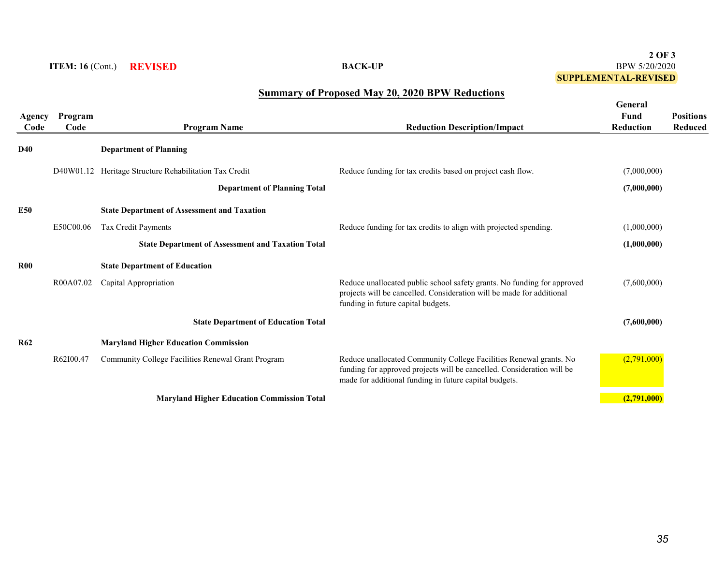## **2 OF 3** BPW 5/20/2020 **SUPPLEMENTAL-REVISED**

# **Summary of Proposed May 20, 2020 BPW Reductions**

| Agency<br>Code | Program<br>Code | <b>Program Name</b>                                      | <b>Reduction Description/Impact</b>                                                                                                                                                                    | General<br>Fund<br><b>Reduction</b> | <b>Positions</b><br><b>Reduced</b> |
|----------------|-----------------|----------------------------------------------------------|--------------------------------------------------------------------------------------------------------------------------------------------------------------------------------------------------------|-------------------------------------|------------------------------------|
| D40            |                 | <b>Department of Planning</b>                            |                                                                                                                                                                                                        |                                     |                                    |
|                |                 | D40W01.12 Heritage Structure Rehabilitation Tax Credit   | Reduce funding for tax credits based on project cash flow.                                                                                                                                             | (7,000,000)                         |                                    |
|                |                 | <b>Department of Planning Total</b>                      |                                                                                                                                                                                                        | (7,000,000)                         |                                    |
| <b>E50</b>     |                 | <b>State Department of Assessment and Taxation</b>       |                                                                                                                                                                                                        |                                     |                                    |
|                | E50C00.06       | <b>Tax Credit Payments</b>                               | Reduce funding for tax credits to align with projected spending.                                                                                                                                       | (1,000,000)                         |                                    |
|                |                 | <b>State Department of Assessment and Taxation Total</b> |                                                                                                                                                                                                        | (1,000,000)                         |                                    |
| <b>R00</b>     |                 | <b>State Department of Education</b>                     |                                                                                                                                                                                                        |                                     |                                    |
|                | R00A07.02       | Capital Appropriation                                    | Reduce unallocated public school safety grants. No funding for approved<br>projects will be cancelled. Consideration will be made for additional<br>funding in future capital budgets.                 | (7,600,000)                         |                                    |
|                |                 | <b>State Department of Education Total</b>               |                                                                                                                                                                                                        | (7,600,000)                         |                                    |
| <b>R62</b>     |                 | <b>Maryland Higher Education Commission</b>              |                                                                                                                                                                                                        |                                     |                                    |
|                | R62I00.47       | Community College Facilities Renewal Grant Program       | Reduce unallocated Community College Facilities Renewal grants. No<br>funding for approved projects will be cancelled. Consideration will be<br>made for additional funding in future capital budgets. | (2,791,000)                         |                                    |
|                |                 | <b>Maryland Higher Education Commission Total</b>        |                                                                                                                                                                                                        | (2,791,000)                         |                                    |